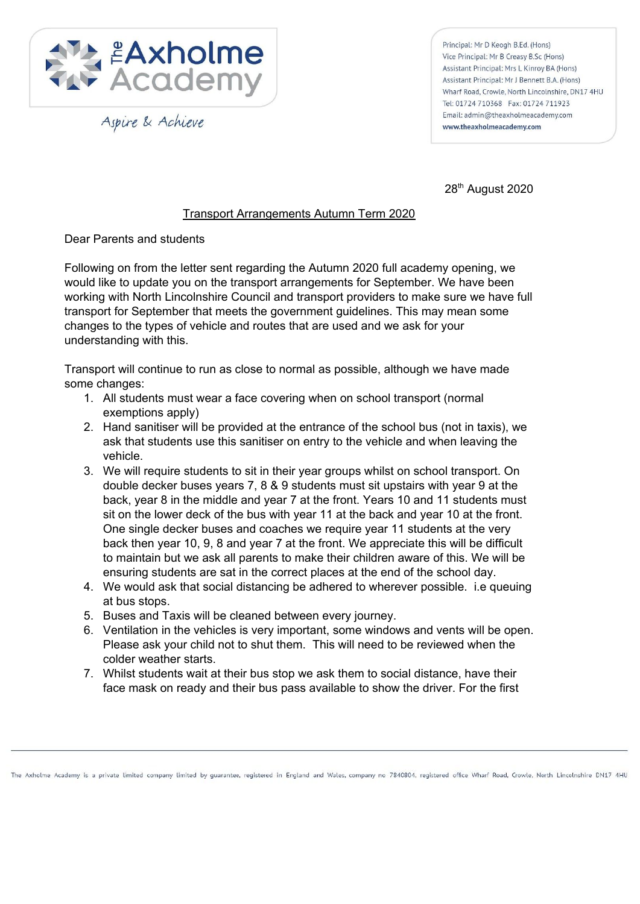

Aspire & Achieve

Principal: Mr D Keogh B.Ed. (Hons) Vice Principal: Mr B Creasy B.Sc (Hons) Assistant Principal: Mrs L Kinroy BA (Hons) Assistant Principal: Mr J Bennett B.A. (Hons) Wharf Road, Crowle, North Lincolnshire, DN17 4HU Tel: 01724 710368 Fax: 01724 711923 Email: admin@theaxholmeacademy.com www.theaxholmeacademy.com

28<sup>th</sup> August 2020

## Transport Arrangements Autumn Term 2020

Dear Parents and students

Following on from the letter sent regarding the Autumn 2020 full academy opening, we would like to update you on the transport arrangements for September. We have been working with North Lincolnshire Council and transport providers to make sure we have full transport for September that meets the government guidelines. This may mean some changes to the types of vehicle and routes that are used and we ask for your understanding with this.

Transport will continue to run as close to normal as possible, although we have made some changes:

- 1. All students must wear a face covering when on school transport (normal exemptions apply)
- 2. Hand sanitiser will be provided at the entrance of the school bus (not in taxis), we ask that students use this sanitiser on entry to the vehicle and when leaving the vehicle.
- 3. We will require students to sit in their year groups whilst on school transport. On double decker buses years 7, 8 & 9 students must sit upstairs with year 9 at the back, year 8 in the middle and year 7 at the front. Years 10 and 11 students must sit on the lower deck of the bus with year 11 at the back and year 10 at the front. One single decker buses and coaches we require year 11 students at the very back then year 10, 9, 8 and year 7 at the front. We appreciate this will be difficult to maintain but we ask all parents to make their children aware of this. We will be ensuring students are sat in the correct places at the end of the school day.
- 4. We would ask that social distancing be adhered to wherever possible. i.e queuing at bus stops.
- 5. Buses and Taxis will be cleaned between every journey.
- 6. Ventilation in the vehicles is very important, some windows and vents will be open. Please ask your child not to shut them. This will need to be reviewed when the colder weather starts.
- 7. Whilst students wait at their bus stop we ask them to social distance, have their face mask on ready and their bus pass available to show the driver. For the first